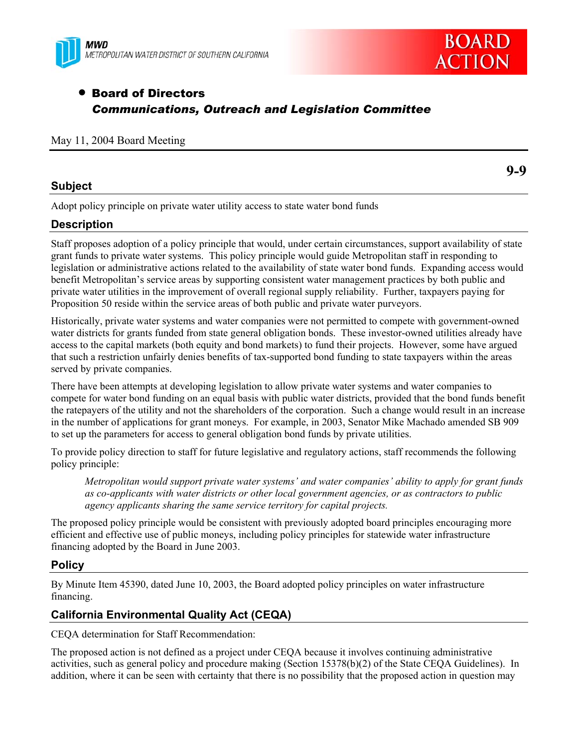



# • Board of Directors *Communications, Outreach and Legislation Committee*

#### May 11, 2004 Board Meeting

## **Subject**

**9-9** 

Adopt policy principle on private water utility access to state water bond funds

## **Description**

Staff proposes adoption of a policy principle that would, under certain circumstances, support availability of state grant funds to private water systems. This policy principle would guide Metropolitan staff in responding to legislation or administrative actions related to the availability of state water bond funds. Expanding access would benefit Metropolitan's service areas by supporting consistent water management practices by both public and private water utilities in the improvement of overall regional supply reliability. Further, taxpayers paying for Proposition 50 reside within the service areas of both public and private water purveyors.

Historically, private water systems and water companies were not permitted to compete with government-owned water districts for grants funded from state general obligation bonds. These investor-owned utilities already have access to the capital markets (both equity and bond markets) to fund their projects. However, some have argued that such a restriction unfairly denies benefits of tax-supported bond funding to state taxpayers within the areas served by private companies.

There have been attempts at developing legislation to allow private water systems and water companies to compete for water bond funding on an equal basis with public water districts, provided that the bond funds benefit the ratepayers of the utility and not the shareholders of the corporation. Such a change would result in an increase in the number of applications for grant moneys. For example, in 2003, Senator Mike Machado amended SB 909 to set up the parameters for access to general obligation bond funds by private utilities.

To provide policy direction to staff for future legislative and regulatory actions, staff recommends the following policy principle:

*Metropolitan would support private water systems' and water companies' ability to apply for grant funds as co-applicants with water districts or other local government agencies, or as contractors to public agency applicants sharing the same service territory for capital projects.* 

The proposed policy principle would be consistent with previously adopted board principles encouraging more efficient and effective use of public moneys, including policy principles for statewide water infrastructure financing adopted by the Board in June 2003.

## **Policy**

By Minute Item 45390, dated June 10, 2003, the Board adopted policy principles on water infrastructure financing.

## **California Environmental Quality Act (CEQA)**

CEQA determination for Staff Recommendation:

The proposed action is not defined as a project under CEQA because it involves continuing administrative activities, such as general policy and procedure making (Section 15378(b)(2) of the State CEQA Guidelines). In addition, where it can be seen with certainty that there is no possibility that the proposed action in question may